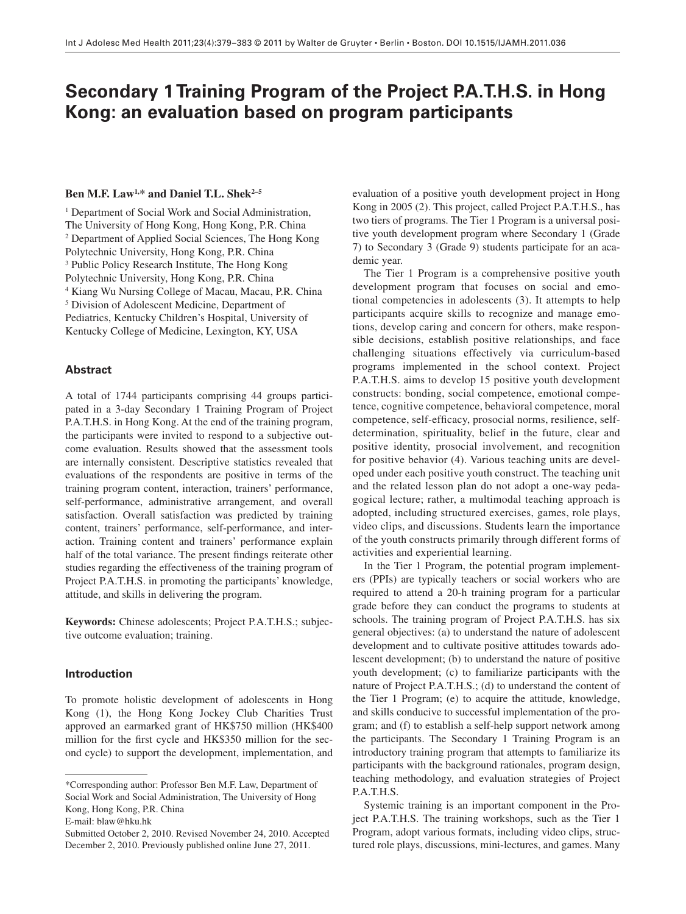# **Secondary 1 Training Program of the Project P.A.T.H.S. in Hong Kong: an evaluation based on program participants**

## Ben M.F. Law<sup>1,\*</sup> and Daniel T.L. Shek<sup>2-5</sup>

<sup>1</sup> Department of Social Work and Social Administration, The University of Hong Kong, Hong Kong, P.R. China <sup>2</sup> Department of Applied Social Sciences, The Hong Kong Polytechnic University, Hong Kong, P.R. China <sup>3</sup> Public Policy Research Institute, The Hong Kong Polytechnic University, Hong Kong, P.R. China <sup>4</sup> Kiang Wu Nursing College of Macau, Macau, P.R. China <sup>5</sup> Division of Adolescent Medicine, Department of Pediatrics, Kentucky Children's Hospital, University of Kentucky College of Medicine, Lexington, KY, USA

# **Abstract**

 A total of 1744 participants comprising 44 groups participated in a 3-day Secondary 1 Training Program of Project P.A.T.H.S. in Hong Kong. At the end of the training program, the participants were invited to respond to a subjective outcome evaluation. Results showed that the assessment tools are internally consistent. Descriptive statistics revealed that evaluations of the respondents are positive in terms of the training program content, interaction, trainers' performance, self-performance, administrative arrangement, and overall satisfaction. Overall satisfaction was predicted by training content, trainers' performance, self-performance, and interaction. Training content and trainers' performance explain half of the total variance. The present findings reiterate other studies regarding the effectiveness of the training program of Project P.A.T.H.S. in promoting the participants' knowledge, attitude, and skills in delivering the program.

**Keywords:** Chinese adolescents; Project P.A.T.H.S.; subjective outcome evaluation; training.

# **Introduction**

 To promote holistic development of adolescents in Hong Kong (1), the Hong Kong Jockey Club Charities Trust approved an earmarked grant of HK\$750 million (HK\$400 million for the first cycle and HK\$350 million for the second cycle) to support the development, implementation, and evaluation of a positive youth development project in Hong Kong in 2005 (2) . This project, called Project P.A.T.H.S., has two tiers of programs. The Tier 1 Program is a universal positive youth development program where Secondary 1 (Grade 7) to Secondary 3 (Grade 9) students participate for an academic year.

 The Tier 1 Program is a comprehensive positive youth development program that focuses on social and emotional competencies in adolescents (3) . It attempts to help participants acquire skills to recognize and manage emotions, develop caring and concern for others, make responsible decisions, establish positive relationships, and face challenging situations effectively via curriculum-based programs implemented in the school context. Project P.A.T.H.S. aims to develop 15 positive youth development constructs: bonding, social competence, emotional competence, cognitive competence, behavioral competence, moral competence, self-efficacy, prosocial norms, resilience, selfdetermination, spirituality, belief in the future, clear and positive identity, prosocial involvement, and recognition for positive behavior (4). Various teaching units are developed under each positive youth construct. The teaching unit and the related lesson plan do not adopt a one-way pedagogical lecture; rather, a multimodal teaching approach is adopted, including structured exercises, games, role plays, video clips, and discussions. Students learn the importance of the youth constructs primarily through different forms of activities and experiential learning.

 In the Tier 1 Program, the potential program implementers (PPIs) are typically teachers or social workers who are required to attend a 20-h training program for a particular grade before they can conduct the programs to students at schools. The training program of Project P.A.T.H.S. has six general objectives: (a) to understand the nature of adolescent development and to cultivate positive attitudes towards adolescent development; (b) to understand the nature of positive youth development; (c) to familiarize participants with the nature of Project P.A.T.H.S.; (d) to understand the content of the Tier 1 Program; (e) to acquire the attitude, knowledge, and skills conducive to successful implementation of the program; and (f) to establish a self-help support network among the participants. The Secondary 1 Training Program is an introductory training program that attempts to familiarize its participants with the background rationales, program design, teaching methodology, and evaluation strategies of Project P.A.T.H.S.

 Systemic training is an important component in the Project P.A.T.H.S. The training workshops, such as the Tier 1 Program, adopt various formats, including video clips, structured role plays, discussions, mini-lectures, and games. Many

 <sup>\*</sup>Corresponding author: Professor Ben M.F. Law, Department of Social Work and Social Administration, The University of Hong Kong, Hong Kong, P.R. China

E-mail: blaw@hku.hk

Submitted October 2, 2010. Revised November 24, 2010. Accepted December 2, 2010. Previously published online June 27, 2011.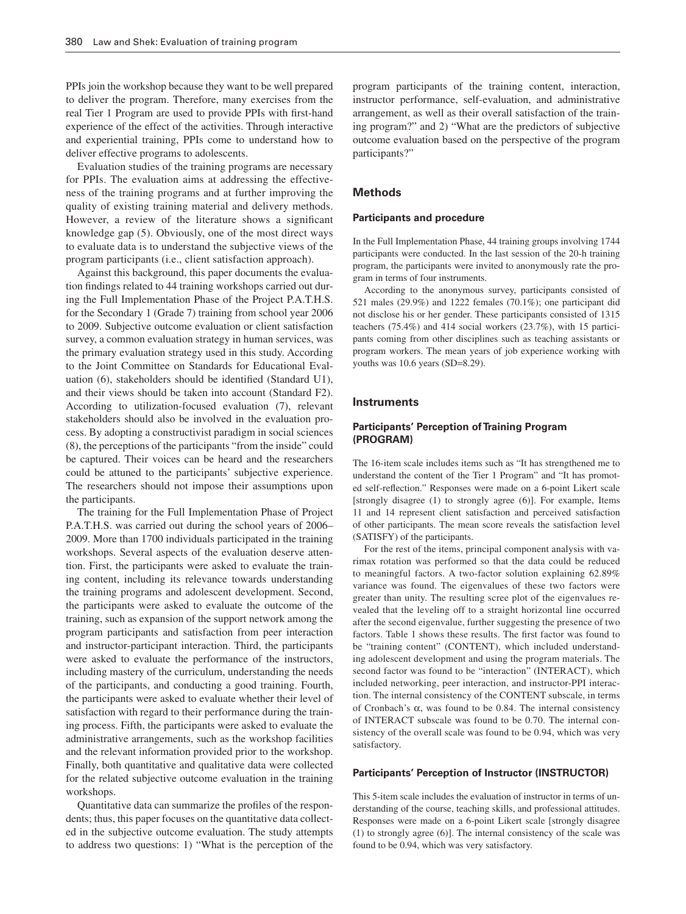PPIs join the workshop because they want to be well prepared to deliver the program. Therefore, many exercises from the real Tier 1 Program are used to provide PPIs with first-hand experience of the effect of the activities. Through interactive and experiential training, PPIs come to understand how to deliver effective programs to adolescents.

 Evaluation studies of the training programs are necessary for PPIs. The evaluation aims at addressing the effectiveness of the training programs and at further improving the quality of existing training material and delivery methods. However, a review of the literature shows a significant knowledge gap (5) . Obviously, one of the most direct ways to evaluate data is to understand the subjective views of the program participants (i.e., client satisfaction approach).

 Against this background, this paper documents the evaluation findings related to 44 training workshops carried out during the Full Implementation Phase of the Project P.A.T.H.S. for the Secondary 1 (Grade 7) training from school year 2006 to 2009. Subjective outcome evaluation or client satisfaction survey, a common evaluation strategy in human services, was the primary evaluation strategy used in this study. According to the Joint Committee on Standards for Educational Evaluation (6), stakeholders should be identified (Standard U1), and their views should be taken into account (Standard F2). According to utilization-focused evaluation (7), relevant stakeholders should also be involved in the evaluation process. By adopting a constructivist paradigm in social sciences (8) , the perceptions of the participants " from the inside " could be captured. Their voices can be heard and the researchers could be attuned to the participants' subjective experience. The researchers should not impose their assumptions upon the participants.

 The training for the Full Implementation Phase of Project P.A.T.H.S. was carried out during the school years of 2006– 2009. More than 1700 individuals participated in the training workshops. Several aspects of the evaluation deserve attention. First, the participants were asked to evaluate the training content, including its relevance towards understanding the training programs and adolescent development. Second, the participants were asked to evaluate the outcome of the training, such as expansion of the support network among the program participants and satisfaction from peer interaction and instructor-participant interaction. Third, the participants were asked to evaluate the performance of the instructors, including mastery of the curriculum, understanding the needs of the participants, and conducting a good training. Fourth, the participants were asked to evaluate whether their level of satisfaction with regard to their performance during the training process. Fifth, the participants were asked to evaluate the administrative arrangements, such as the workshop facilities and the relevant information provided prior to the workshop. Finally, both quantitative and qualitative data were collected for the related subjective outcome evaluation in the training workshops.

Quantitative data can summarize the profiles of the respondents; thus, this paper focuses on the quantitative data collected in the subjective outcome evaluation. The study attempts to address two questions: 1) "What is the perception of the

program participants of the training content, interaction, instructor performance, self-evaluation, and administrative arrangement, as well as their overall satisfaction of the training program?" and 2) "What are the predictors of subjective outcome evaluation based on the perspective of the program participants?"

## **Methods**

#### **Participants and procedure**

 In the Full Implementation Phase, 44 training groups involving 1744 participants were conducted. In the last session of the 20-h training program, the participants were invited to anonymously rate the program in terms of four instruments.

 According to the anonymous survey, participants consisted of 521 males (29.9%) and 1222 females (70.1%); one participant did not disclose his or her gender. These participants consisted of 1315 teachers  $(75.4\%)$  and  $414$  social workers  $(23.7\%)$ , with 15 participants coming from other disciplines such as teaching assistants or program workers. The mean years of job experience working with youths was  $10.6$  years (SD=8.29).

## **Instruments**

## **Participants' Perception of Training Program (PROGRAM)**

The 16-item scale includes items such as "It has strengthened me to understand the content of the Tier 1 Program" and "It has promoted self-reflection." Responses were made on a 6-point Likert scale [strongly disagree (1) to strongly agree (6) ]. For example, Items 11 and 14 represent client satisfaction and perceived satisfaction of other participants. The mean score reveals the satisfaction level (SATISFY) of the participants.

 For the rest of the items, principal component analysis with varimax rotation was performed so that the data could be reduced to meaningful factors. A two-factor solution explaining 62.89% variance was found. The eigenvalues of these two factors were greater than unity. The resulting scree plot of the eigenvalues revealed that the leveling off to a straight horizontal line occurred after the second eigenvalue, further suggesting the presence of two factors. Table 1 shows these results. The first factor was found to be "training content" (CONTENT), which included understanding adolescent development and using the program materials. The second factor was found to be "interaction" (INTERACT), which included networking, peer interaction, and instructor-PPI interaction. The internal consistency of the CONTENT subscale, in terms of Cronbach's  $\alpha$ , was found to be 0.84. The internal consistency of INTERACT subscale was found to be 0.70. The internal consistency of the overall scale was found to be 0.94, which was very satisfactory.

#### **Participants' Perception of Instructor (INSTRUCTOR)**

 This 5-item scale includes the evaluation of instructor in terms of understanding of the course, teaching skills, and professional attitudes. Responses were made on a 6-point Likert scale [strongly disagree  $(1)$  to strongly agree  $(6)$ ]. The internal consistency of the scale was found to be 0.94, which was very satisfactory.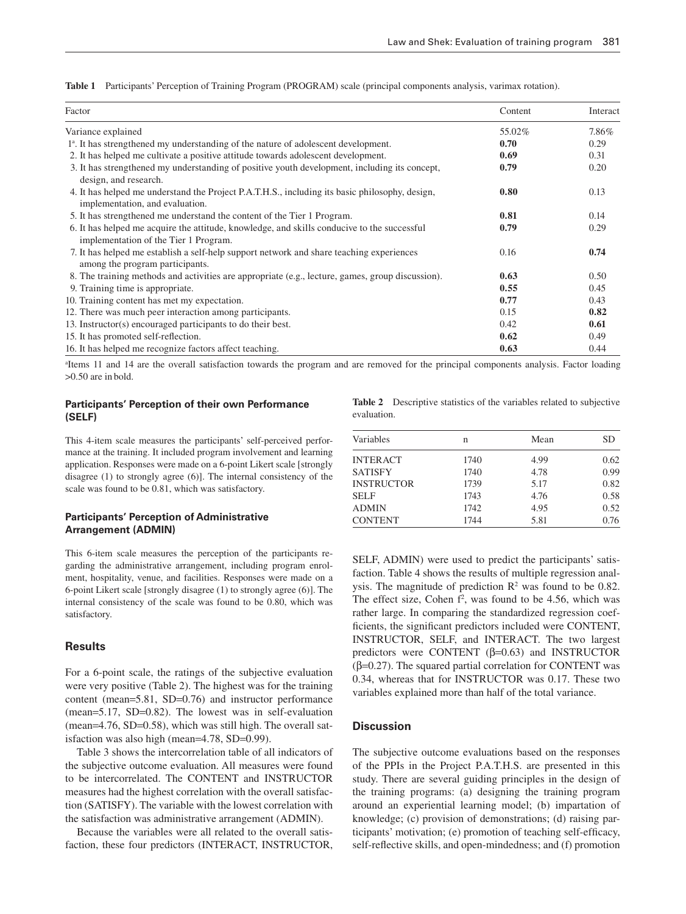|  |  |  |  |  |  |  |  |  | Table 1 Participants' Perception of Training Program (PROGRAM) scale (principal components analysis, varimax rotation). |  |
|--|--|--|--|--|--|--|--|--|-------------------------------------------------------------------------------------------------------------------------|--|
|--|--|--|--|--|--|--|--|--|-------------------------------------------------------------------------------------------------------------------------|--|

| Factor                                                                                                                               | Content | Interact |
|--------------------------------------------------------------------------------------------------------------------------------------|---------|----------|
| Variance explained                                                                                                                   | 55.02%  | 7.86%    |
| 1 <sup>a</sup> . It has strengthened my understanding of the nature of adolescent development.                                       | 0.70    | 0.29     |
| 2. It has helped me cultivate a positive attitude towards adolescent development.                                                    | 0.69    | 0.31     |
| 3. It has strengthened my understanding of positive youth development, including its concept,<br>design, and research.               | 0.79    | 0.20     |
| 4. It has helped me understand the Project P.A.T.H.S., including its basic philosophy, design,<br>implementation, and evaluation.    | 0.80    | 0.13     |
| 5. It has strengthened me understand the content of the Tier 1 Program.                                                              | 0.81    | 0.14     |
| 6. It has helped me acquire the attitude, knowledge, and skills conducive to the successful<br>implementation of the Tier 1 Program. | 0.79    | 0.29     |
| 7. It has helped me establish a self-help support network and share teaching experiences<br>among the program participants.          | 0.16    | 0.74     |
| 8. The training methods and activities are appropriate (e.g., lecture, games, group discussion).                                     | 0.63    | 0.50     |
| 9. Training time is appropriate.                                                                                                     | 0.55    | 0.45     |
| 10. Training content has met my expectation.                                                                                         | 0.77    | 0.43     |
| 12. There was much peer interaction among participants.                                                                              | 0.15    | 0.82     |
| 13. Instructor(s) encouraged participants to do their best.                                                                          | 0.42    | 0.61     |
| 15. It has promoted self-reflection.                                                                                                 | 0.62    | 0.49     |
| 16. It has helped me recognize factors affect teaching.                                                                              | 0.63    | 0.44     |

<sup>a</sup>Items 11 and 14 are the overall satisfaction towards the program and are removed for the principal components analysis. Factor loading >0.50 are in bold.

### **Participants' Perception of their own Performance (SELF)**

This 4-item scale measures the participants' self-perceived performance at the training. It included program involvement and learning application. Responses were made on a 6-point Likert scale [strongly disagree (1) to strongly agree (6) ]. The internal consistency of the scale was found to be 0.81, which was satisfactory.

## **Participants' Perception of Administrative Arrangement (ADMIN)**

 This 6-item scale measures the perception of the participants regarding the administrative arrangement, including program enrolment, hospitality, venue, and facilities. Responses were made on a 6-point Likert scale [strongly disagree (1) to strongly agree (6) ]. The internal consistency of the scale was found to be 0.80, which was satisfactory.

# **Results**

 For a 6-point scale, the ratings of the subjective evaluation were very positive (Table 2). The highest was for the training content (mean= $5.81$ , SD= $0.76$ ) and instructor performance  $(mean = 5.17, SD = 0.82)$ . The lowest was in self-evaluation  $(mean=4.76, SD=0.58)$ , which was still high. The overall satisfaction was also high (mean= $4.78$ , SD= $0.99$ ).

Table 3 shows the intercorrelation table of all indicators of the subjective outcome evaluation. All measures were found to be intercorrelated. The CONTENT and INSTRUCTOR measures had the highest correlation with the overall satisfaction (SATISFY). The variable with the lowest correlation with the satisfaction was administrative arrangement (ADMIN).

 Because the variables were all related to the overall satisfaction, these four predictors (INTERACT, INSTRUCTOR, **Table 2** Descriptive statistics of the variables related to subjective evaluation.

| Variables         | n    | Mean | SD   |  |
|-------------------|------|------|------|--|
| <b>INTERACT</b>   | 1740 | 4.99 | 0.62 |  |
| <b>SATISFY</b>    | 1740 | 4.78 | 0.99 |  |
| <b>INSTRUCTOR</b> | 1739 | 5.17 | 0.82 |  |
| <b>SELF</b>       | 1743 | 4.76 | 0.58 |  |
| <b>ADMIN</b>      | 1742 | 4.95 | 0.52 |  |
| <b>CONTENT</b>    | 1744 | 5.81 | 0.76 |  |

SELF, ADMIN) were used to predict the participants' satisfaction. Table 4 shows the results of multiple regression analysis. The magnitude of prediction  $\mathbb{R}^2$  was found to be 0.82. The effect size, Cohen  $f^2$ , was found to be 4.56, which was rather large. In comparing the standardized regression coefficients, the significant predictors included were CONTENT, INSTRUCTOR, SELF, and INTERACT. The two largest predictors were CONTENT  $(\beta=0.63)$  and INSTRUCTOR  $(\beta = 0.27)$ . The squared partial correlation for CONTENT was 0.34, whereas that for INSTRUCTOR was 0.17. These two variables explained more than half of the total variance.

# **Discussion**

 The subjective outcome evaluations based on the responses of the PPIs in the Project P.A.T.H.S. are presented in this study. There are several guiding principles in the design of the training programs: (a) designing the training program around an experiential learning model; (b) impartation of knowledge; (c) provision of demonstrations; (d) raising participants' motivation; (e) promotion of teaching self-efficacy, self-reflective skills, and open-mindedness; and (f) promotion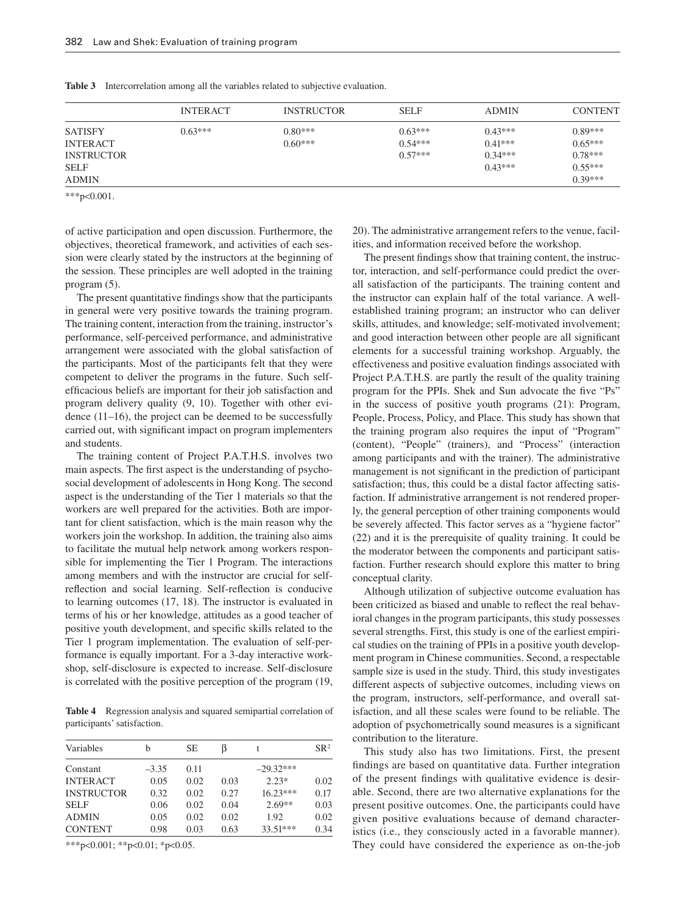|                   | <b>INTERACT</b> | <b>INSTRUCTOR</b> | <b>SELF</b> | <b>ADMIN</b> | <b>CONTENT</b> |
|-------------------|-----------------|-------------------|-------------|--------------|----------------|
| <b>SATISFY</b>    | $0.63***$       | $0.80***$         | $0.63***$   | $0.43***$    | $0.89***$      |
| <b>INTERACT</b>   |                 | $0.60***$         | $0.54***$   | $0.41***$    | $0.65***$      |
| <b>INSTRUCTOR</b> |                 |                   | $0.57***$   | $0.34***$    | $0.78***$      |
| <b>SELF</b>       |                 |                   |             | $0.43***$    | $0.55***$      |
| <b>ADMIN</b>      |                 |                   |             |              | $0.39***$      |

**Table 3** Intercorrelation among all the variables related to subjective evaluation.

 $***p<0.001$ .

of active participation and open discussion. Furthermore, the objectives, theoretical framework, and activities of each session were clearly stated by the instructors at the beginning of the session. These principles are well adopted in the training program  $(5)$ .

The present quantitative findings show that the participants in general were very positive towards the training program. The training content, interaction from the training, instructor's performance, self-perceived performance, and administrative arrangement were associated with the global satisfaction of the participants. Most of the participants felt that they were competent to deliver the programs in the future. Such selfefficacious beliefs are important for their job satisfaction and program delivery quality (9, 10). Together with other evidence  $(11-16)$ , the project can be deemed to be successfully carried out, with significant impact on program implementers and students.

 The training content of Project P.A.T.H.S. involves two main aspects. The first aspect is the understanding of psychosocial development of adolescents in Hong Kong. The second aspect is the understanding of the Tier 1 materials so that the workers are well prepared for the activities. Both are important for client satisfaction, which is the main reason why the workers join the workshop. In addition, the training also aims to facilitate the mutual help network among workers responsible for implementing the Tier 1 Program. The interactions among members and with the instructor are crucial for selfreflection and social learning. Self-reflection is conducive to learning outcomes (17, 18) . The instructor is evaluated in terms of his or her knowledge, attitudes as a good teacher of positive youth development, and specific skills related to the Tier 1 program implementation. The evaluation of self-performance is equally important. For a 3-day interactive workshop, self-disclosure is expected to increase. Self-disclosure is correlated with the positive perception of the program (19,

**Table 4** Regression analysis and squared semipartial correlation of participants' satisfaction.

| Variables         | b       | SЕ   | ß    | t           | $\rm SR^2$ |
|-------------------|---------|------|------|-------------|------------|
| Constant          | $-3.35$ | 0.11 |      | $-29.32***$ |            |
| <b>INTERACT</b>   | 0.05    | 0.02 | 0.03 | $2.23*$     | 0.02       |
| <b>INSTRUCTOR</b> | 0.32    | 0.02 | 0.27 | $16.23***$  | 0.17       |
| <b>SELF</b>       | 0.06    | 0.02 | 0.04 | $2.69**$    | 0.03       |
| <b>ADMIN</b>      | 0.05    | 0.02 | 0.02 | 1.92        | 0.02       |
| <b>CONTENT</b>    | 0.98    | 0.03 | 0.63 | $33.51***$  | 0.34       |

\*\*\*p<0.001; \*\*p<0.01; \*p<0.05.

20) . The administrative arrangement refers to the venue, facilities, and information received before the workshop.

The present findings show that training content, the instructor, interaction, and self-performance could predict the overall satisfaction of the participants. The training content and the instructor can explain half of the total variance. A wellestablished training program; an instructor who can deliver skills, attitudes, and knowledge; self-motivated involvement; and good interaction between other people are all significant elements for a successful training workshop. Arguably, the effectiveness and positive evaluation findings associated with Project P.A.T.H.S. are partly the result of the quality training program for the PPIs. Shek and Sun advocate the five "Ps" in the success of positive youth programs  $(21)$ : Program, People, Process, Policy, and Place. This study has shown that the training program also requires the input of "Program" (content), "People" (trainers), and "Process" (interaction among participants and with the trainer). The administrative management is not significant in the prediction of participant satisfaction; thus, this could be a distal factor affecting satisfaction. If administrative arrangement is not rendered properly, the general perception of other training components would be severely affected. This factor serves as a "hygiene factor" (22) and it is the prerequisite of quality training. It could be the moderator between the components and participant satisfaction. Further research should explore this matter to bring conceptual clarity.

 Although utilization of subjective outcome evaluation has been criticized as biased and unable to reflect the real behavioral changes in the program participants, this study possesses several strengths. First, this study is one of the earliest empirical studies on the training of PPIs in a positive youth development program in Chinese communities. Second, a respectable sample size is used in the study. Third, this study investigates different aspects of subjective outcomes, including views on the program, instructors, self-performance, and overall satisfaction, and all these scales were found to be reliable. The adoption of psychometrically sound measures is a significant contribution to the literature.

 This study also has two limitations. First, the present findings are based on quantitative data. Further integration of the present findings with qualitative evidence is desirable. Second, there are two alternative explanations for the present positive outcomes. One, the participants could have given positive evaluations because of demand characteristics (i.e., they consciously acted in a favorable manner). They could have considered the experience as on-the-job